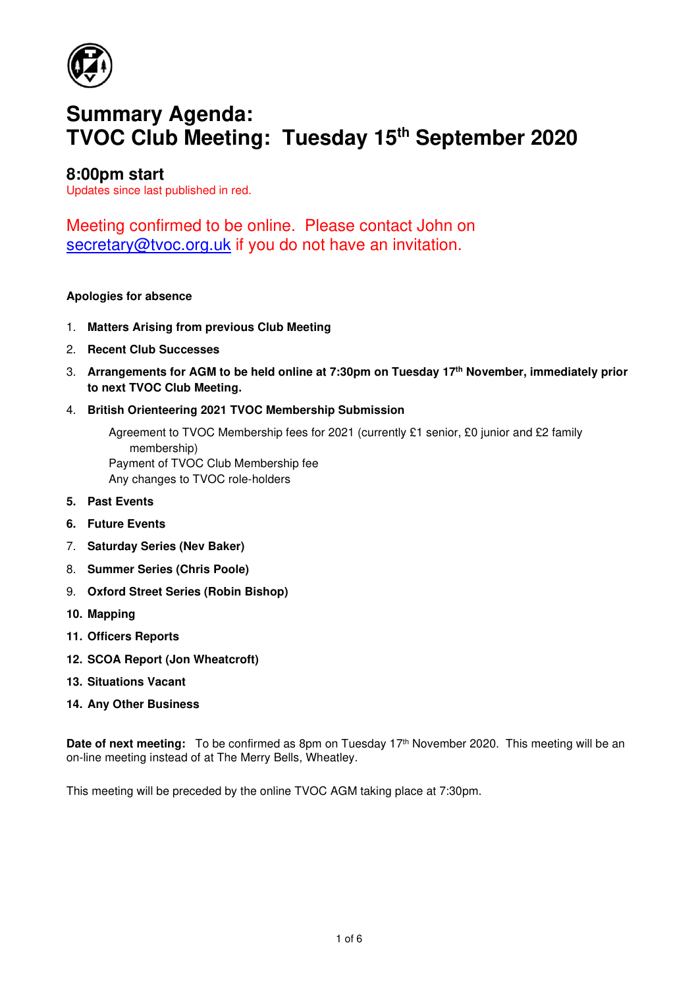

# **Summary Agenda: TVOC Club Meeting: Tuesday 15th September 2020**

# **8:00pm start**

Updates since last published in red.

Meeting confirmed to be online. Please contact John on secretary@tvoc.org.uk if you do not have an invitation.

## **Apologies for absence**

- 1. **Matters Arising from previous Club Meeting**
- 2. **Recent Club Successes**
- 3. **Arrangements for AGM to be held online at 7:30pm on Tuesday 17th November, immediately prior to next TVOC Club Meeting.**
- 4. **British Orienteering 2021 TVOC Membership Submission**

Agreement to TVOC Membership fees for 2021 (currently £1 senior, £0 junior and £2 family membership) Payment of TVOC Club Membership fee Any changes to TVOC role-holders

- **5. Past Events**
- **6. Future Events**
- 7. **Saturday Series (Nev Baker)**
- 8. **Summer Series (Chris Poole)**
- 9. **Oxford Street Series (Robin Bishop)**
- **10. Mapping**
- **11. Officers Reports**
- **12. SCOA Report (Jon Wheatcroft)**
- **13. Situations Vacant**
- **14. Any Other Business**

**Date of next meeting:** To be confirmed as 8pm on Tuesday 17<sup>th</sup> November 2020. This meeting will be an on-line meeting instead of at The Merry Bells, Wheatley.

This meeting will be preceded by the online TVOC AGM taking place at 7:30pm.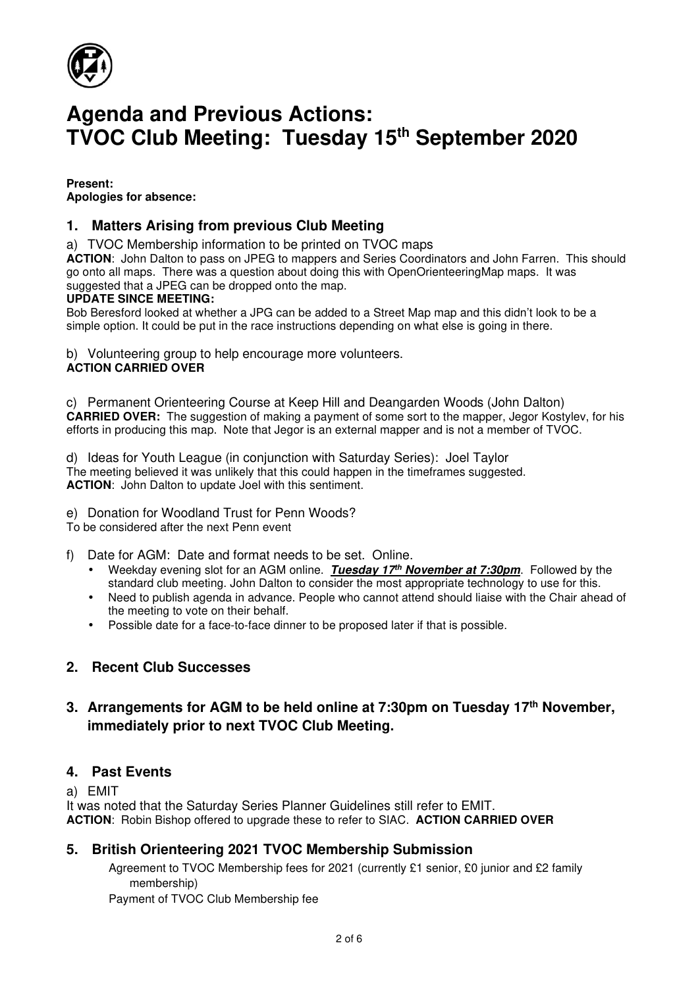

# **Agenda and Previous Actions: TVOC Club Meeting: Tuesday 15th September 2020**

**Present: Apologies for absence:** 

## **1. Matters Arising from previous Club Meeting**

a) TVOC Membership information to be printed on TVOC maps

**ACTION**: John Dalton to pass on JPEG to mappers and Series Coordinators and John Farren. This should go onto all maps. There was a question about doing this with OpenOrienteeringMap maps. It was suggested that a JPEG can be dropped onto the map.

## **UPDATE SINCE MEETING:**

Bob Beresford looked at whether a JPG can be added to a Street Map map and this didn't look to be a simple option. It could be put in the race instructions depending on what else is going in there.

b) Volunteering group to help encourage more volunteers. **ACTION CARRIED OVER**

c) Permanent Orienteering Course at Keep Hill and Deangarden Woods (John Dalton) **CARRIED OVER:** The suggestion of making a payment of some sort to the mapper, Jegor Kostylev, for his efforts in producing this map. Note that Jegor is an external mapper and is not a member of TVOC.

d) Ideas for Youth League (in conjunction with Saturday Series): Joel Taylor The meeting believed it was unlikely that this could happen in the timeframes suggested. **ACTION**: John Dalton to update Joel with this sentiment.

e) Donation for Woodland Trust for Penn Woods?

To be considered after the next Penn event

f) Date for AGM: Date and format needs to be set. Online.

- Weekday evening slot for an AGM online. **Tuesday 17th November at 7:30pm**. Followed by the standard club meeting. John Dalton to consider the most appropriate technology to use for this.
- Need to publish agenda in advance. People who cannot attend should liaise with the Chair ahead of the meeting to vote on their behalf.
- Possible date for a face-to-face dinner to be proposed later if that is possible.

## **2. Recent Club Successes**

## **3. Arrangements for AGM to be held online at 7:30pm on Tuesday 17th November, immediately prior to next TVOC Club Meeting.**

## **4. Past Events**

#### a) EMIT

It was noted that the Saturday Series Planner Guidelines still refer to EMIT. **ACTION**: Robin Bishop offered to upgrade these to refer to SIAC. **ACTION CARRIED OVER** 

## **5. British Orienteering 2021 TVOC Membership Submission**

Agreement to TVOC Membership fees for 2021 (currently £1 senior, £0 junior and £2 family membership)

Payment of TVOC Club Membership fee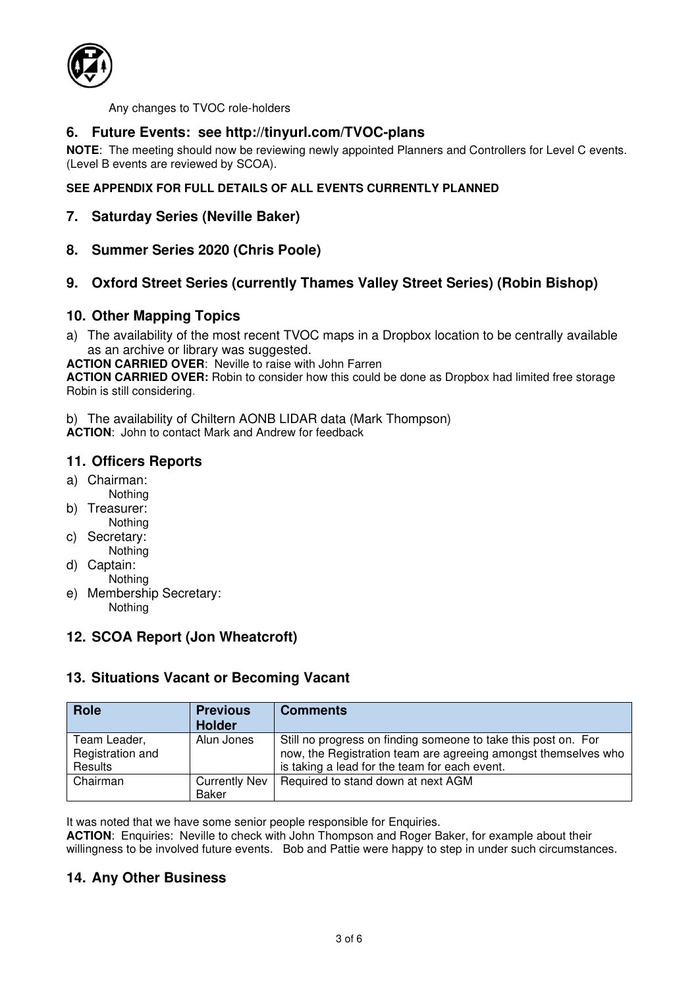

Any changes to TVOC role-holders

## **6. Future Events: see http://tinyurl.com/TVOC-plans**

**NOTE**: The meeting should now be reviewing newly appointed Planners and Controllers for Level C events. (Level B events are reviewed by SCOA).

## **SEE APPENDIX FOR FULL DETAILS OF ALL EVENTS CURRENTLY PLANNED**

- **7. Saturday Series (Neville Baker)**
- **8. Summer Series 2020 (Chris Poole)**

## **9. Oxford Street Series (currently Thames Valley Street Series) (Robin Bishop)**

## **10. Other Mapping Topics**

a) The availability of the most recent TVOC maps in a Dropbox location to be centrally available as an archive or library was suggested.

**ACTION CARRIED OVER**: Neville to raise with John Farren

**ACTION CARRIED OVER:** Robin to consider how this could be done as Dropbox had limited free storage Robin is still considering.

b) The availability of Chiltern AONB LIDAR data (Mark Thompson) **ACTION**: John to contact Mark and Andrew for feedback

## **11. Officers Reports**

- a) Chairman: Nothing
- b) Treasurer:
- Nothing c) Secretary:
- Nothing
- d) Captain: **Nothing**
- e) Membership Secretary: Nothing

## **12. SCOA Report (Jon Wheatcroft)**

## **13. Situations Vacant or Becoming Vacant**

| <b>Role</b>                                 | <b>Previous</b><br><b>Holder</b> | <b>Comments</b>                                                                                                                                                                   |
|---------------------------------------------|----------------------------------|-----------------------------------------------------------------------------------------------------------------------------------------------------------------------------------|
| Team Leader,<br>Registration and<br>Results | Alun Jones                       | Still no progress on finding someone to take this post on. For<br>now, the Registration team are agreeing amongst themselves who<br>is taking a lead for the team for each event. |
| Chairman                                    | Currently Nev<br>Baker           | Required to stand down at next AGM                                                                                                                                                |

It was noted that we have some senior people responsible for Enquiries.

**ACTION:** Enquiries: Neville to check with John Thompson and Roger Baker, for example about their willingness to be involved future events. Bob and Pattie were happy to step in under such circumstances.

## **14. Any Other Business**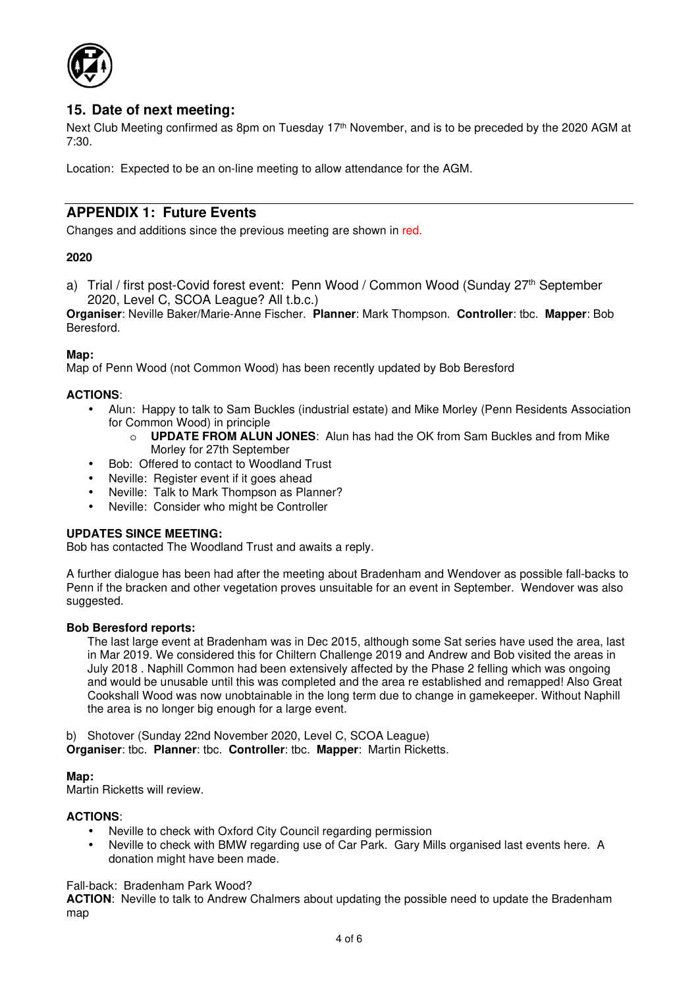

## **15. Date of next meeting:**

Next Club Meeting confirmed as 8pm on Tuesday 17<sup>th</sup> November, and is to be preceded by the 2020 AGM at 7:30.

Location: Expected to be an on-line meeting to allow attendance for the AGM.

## **APPENDIX 1: Future Events**

Changes and additions since the previous meeting are shown in red.

## **2020**

a) Trial / first post-Covid forest event: Penn Wood / Common Wood (Sunday 27<sup>th</sup> September 2020, Level C, SCOA League? All t.b.c.)

**Organiser**: Neville Baker/Marie-Anne Fischer. **Planner**: Mark Thompson. **Controller**: tbc. **Mapper**: Bob Beresford.

#### **Map:**

Map of Penn Wood (not Common Wood) has been recently updated by Bob Beresford

#### **ACTIONS**:

- Alun: Happy to talk to Sam Buckles (industrial estate) and Mike Morley (Penn Residents Association for Common Wood) in principle
	- o **UPDATE FROM ALUN JONES**: Alun has had the OK from Sam Buckles and from Mike Morley for 27th September
- Bob: Offered to contact to Woodland Trust
- Neville: Register event if it goes ahead
- Neville: Talk to Mark Thompson as Planner?
- Neville: Consider who might be Controller

#### **UPDATES SINCE MEETING:**

Bob has contacted The Woodland Trust and awaits a reply.

A further dialogue has been had after the meeting about Bradenham and Wendover as possible fall-backs to Penn if the bracken and other vegetation proves unsuitable for an event in September. Wendover was also suggested.

#### **Bob Beresford reports:**

The last large event at Bradenham was in Dec 2015, although some Sat series have used the area, last in Mar 2019. We considered this for Chiltern Challenge 2019 and Andrew and Bob visited the areas in July 2018 . Naphill Common had been extensively affected by the Phase 2 felling which was ongoing and would be unusable until this was completed and the area re established and remapped! Also Great Cookshall Wood was now unobtainable in the long term due to change in gamekeeper. Without Naphill the area is no longer big enough for a large event.

b) Shotover (Sunday 22nd November 2020, Level C, SCOA League) **Organiser**: tbc. **Planner**: tbc. **Controller**: tbc. **Mapper**: Martin Ricketts.

#### **Map:**

Martin Ricketts will review.

#### **ACTIONS**:

- Neville to check with Oxford City Council regarding permission
- Neville to check with BMW regarding use of Car Park. Gary Mills organised last events here. A donation might have been made.

Fall-back: Bradenham Park Wood?

**ACTION**: Neville to talk to Andrew Chalmers about updating the possible need to update the Bradenham map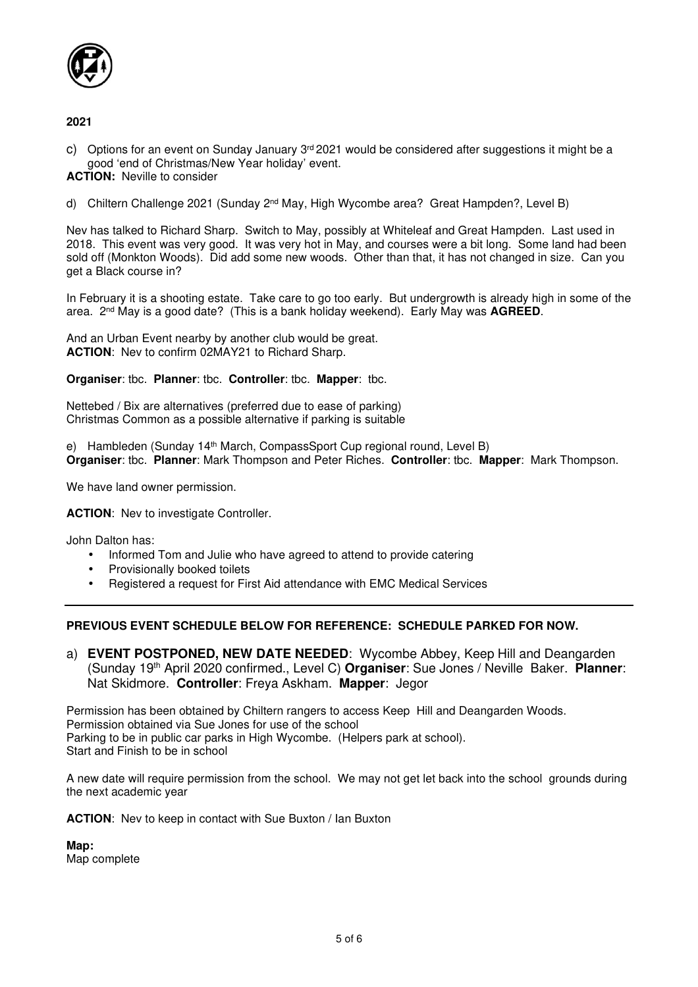

#### **2021**

c) Options for an event on Sunday January  $3<sup>rd</sup>$  2021 would be considered after suggestions it might be a good 'end of Christmas/New Year holiday' event.

**ACTION:** Neville to consider

d) Chiltern Challenge 2021 (Sunday 2<sup>nd</sup> May, High Wycombe area? Great Hampden?, Level B)

Nev has talked to Richard Sharp. Switch to May, possibly at Whiteleaf and Great Hampden. Last used in 2018. This event was very good. It was very hot in May, and courses were a bit long. Some land had been sold off (Monkton Woods). Did add some new woods. Other than that, it has not changed in size. Can you get a Black course in?

In February it is a shooting estate. Take care to go too early. But undergrowth is already high in some of the area. 2nd May is a good date? (This is a bank holiday weekend). Early May was **AGREED**.

And an Urban Event nearby by another club would be great. **ACTION**: Nev to confirm 02MAY21 to Richard Sharp.

#### **Organiser**: tbc. **Planner**: tbc. **Controller**: tbc. **Mapper**: tbc.

Nettebed / Bix are alternatives (preferred due to ease of parking) Christmas Common as a possible alternative if parking is suitable

e) Hambleden (Sunday 14<sup>th</sup> March, CompassSport Cup regional round, Level B) **Organiser**: tbc. **Planner**: Mark Thompson and Peter Riches. **Controller**: tbc. **Mapper**: Mark Thompson.

We have land owner permission.

**ACTION**: Nev to investigate Controller.

John Dalton has:

- Informed Tom and Julie who have agreed to attend to provide catering
- Provisionally booked toilets
- Registered a request for First Aid attendance with EMC Medical Services

## **PREVIOUS EVENT SCHEDULE BELOW FOR REFERENCE: SCHEDULE PARKED FOR NOW.**

a) **EVENT POSTPONED, NEW DATE NEEDED**: Wycombe Abbey, Keep Hill and Deangarden (Sunday 19th April 2020 confirmed., Level C) **Organiser**: Sue Jones / Neville Baker. **Planner**: Nat Skidmore. **Controller**: Freya Askham. **Mapper**: Jegor

Permission has been obtained by Chiltern rangers to access Keep Hill and Deangarden Woods. Permission obtained via Sue Jones for use of the school Parking to be in public car parks in High Wycombe. (Helpers park at school). Start and Finish to be in school

A new date will require permission from the school. We may not get let back into the school grounds during the next academic year

**ACTION**: Nev to keep in contact with Sue Buxton / Ian Buxton

**Map:**  Map complete